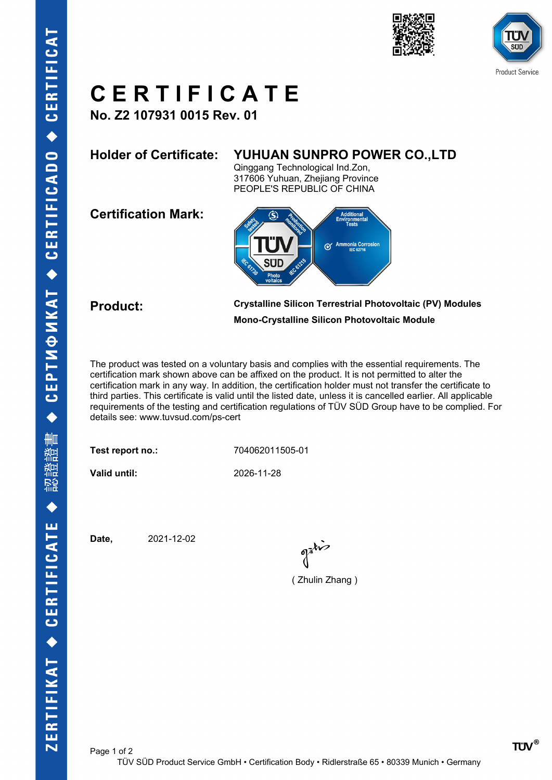





## **C E R T I F I C A T E**

**No. Z2 107931 0015 Rev. 01**

### **Holder of Certificate: YUHUAN SUNPRO POWER CO.,LTD**

Qinggang Technological Ind.Zon, 317606 Yuhuan, Zhejiang Province PEOPLE'S REPUBLIC OF CHINA

**Certification Mark:**



**Product: Crystalline Silicon Terrestrial Photovoltaic (PV) Modules Mono-Crystalline Silicon Photovoltaic Module**

The product was tested on a voluntary basis and complies with the essential requirements. The certification mark shown above can be affixed on the product. It is not permitted to alter the certification mark in any way. In addition, the certification holder must not transfer the certificate to third parties. This certificate is valid until the listed date, unless it is cancelled earlier. All applicable requirements of the testing and certification regulations of TÜV SÜD Group have to be complied. For details see: www.tuvsud.com/ps-cert

**Test report no.:** 704062011505-01

Page 1 of 2

**Valid until:** 2026-11-28

**Date,** 2021-12-02

( Zhulin Zhang )